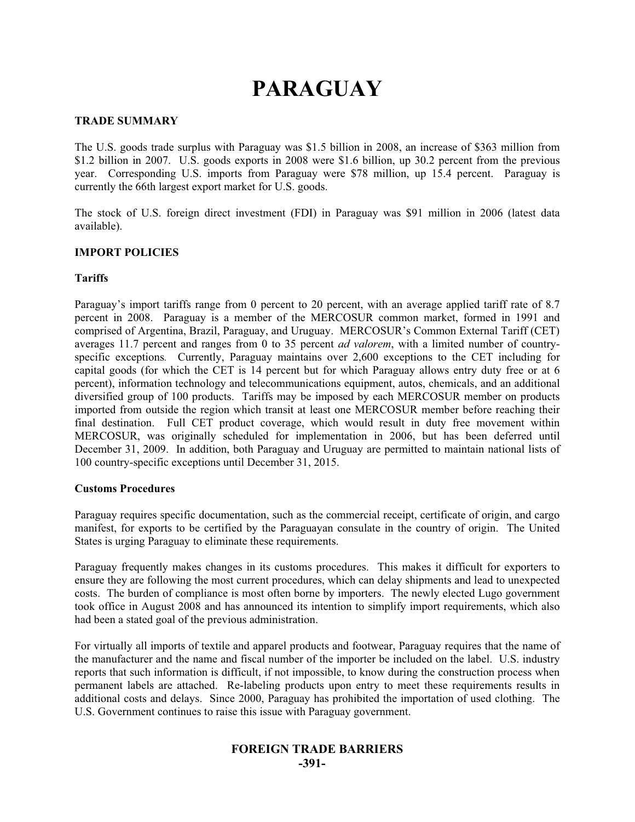# **PARAGUAY**

## **TRADE SUMMARY**

The U.S. goods trade surplus with Paraguay was \$1.5 billion in 2008, an increase of \$363 million from \$1.2 billion in 2007. U.S. goods exports in 2008 were \$1.6 billion, up 30.2 percent from the previous year. Corresponding U.S. imports from Paraguay were \$78 million, up 15.4 percent. Paraguay is currently the 66th largest export market for U.S. goods.

The stock of U.S. foreign direct investment (FDI) in Paraguay was \$91 million in 2006 (latest data available).

## **IMPORT POLICIES**

## **Tariffs**

Paraguay's import tariffs range from 0 percent to 20 percent, with an average applied tariff rate of 8.7 percent in 2008. Paraguay is a member of the MERCOSUR common market, formed in 1991 and comprised of Argentina, Brazil, Paraguay, and Uruguay. MERCOSUR's Common External Tariff (CET) averages 11.7 percent and ranges from 0 to 35 percent *ad valorem*, with a limited number of countryspecific exceptions. Currently, Paraguay maintains over 2,600 exceptions to the CET including for capital goods (for which the CET is 14 percent but for which Paraguay allows entry duty free or at 6 percent), information technology and telecommunications equipment, autos, chemicals, and an additional diversified group of 100 products. Tariffs may be imposed by each MERCOSUR member on products imported from outside the region which transit at least one MERCOSUR member before reaching their final destination. Full CET product coverage, which would result in duty free movement within MERCOSUR, was originally scheduled for implementation in 2006, but has been deferred until December 31, 2009. In addition, both Paraguay and Uruguay are permitted to maintain national lists of 100 country-specific exceptions until December 31, 2015.

#### **Customs Procedures**

Paraguay requires specific documentation, such as the commercial receipt, certificate of origin, and cargo manifest, for exports to be certified by the Paraguayan consulate in the country of origin. The United States is urging Paraguay to eliminate these requirements.

Paraguay frequently makes changes in its customs procedures. This makes it difficult for exporters to ensure they are following the most current procedures, which can delay shipments and lead to unexpected costs. The burden of compliance is most often borne by importers. The newly elected Lugo government took office in August 2008 and has announced its intention to simplify import requirements, which also had been a stated goal of the previous administration.

For virtually all imports of textile and apparel products and footwear, Paraguay requires that the name of the manufacturer and the name and fiscal number of the importer be included on the label. U.S. industry reports that such information is difficult, if not impossible, to know during the construction process when permanent labels are attached. Re-labeling products upon entry to meet these requirements results in additional costs and delays. Since 2000, Paraguay has prohibited the importation of used clothing. The U.S. Government continues to raise this issue with Paraguay government.

# **FOREIGN TRADE BARRIERS -391-**